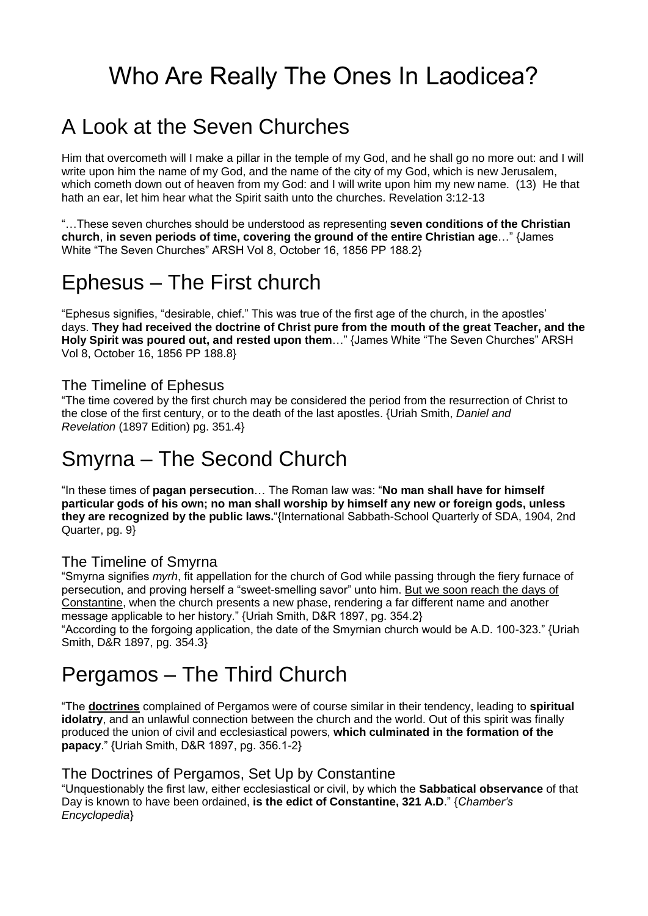# Who Are Really The Ones In Laodicea?

### A Look at the Seven Churches

Him that overcometh will I make a pillar in the temple of my God, and he shall go no more out: and I will write upon him the name of my God, and the name of the city of my God, which is new Jerusalem, which cometh down out of heaven from my God: and I will write upon him my new name. (13) He that hath an ear, let him hear what the Spirit saith unto the churches. Revelation 3:12-13

"…These seven churches should be understood as representing **seven conditions of the Christian church**, **in seven periods of time, covering the ground of the entire Christian age**…" {James White "The Seven Churches" ARSH Vol 8, October 16, 1856 PP 188.2}

### Ephesus – The First church

"Ephesus signifies, "desirable, chief." This was true of the first age of the church, in the apostles' days. **They had received the doctrine of Christ pure from the mouth of the great Teacher, and the Holy Spirit was poured out, and rested upon them**…" {James White "The Seven Churches" ARSH Vol 8, October 16, 1856 PP 188.8}

#### The Timeline of Ephesus

"The time covered by the first church may be considered the period from the resurrection of Christ to the close of the first century, or to the death of the last apostles. {Uriah Smith, *Daniel and Revelation* (1897 Edition) pg. 351.4}

### Smyrna – The Second Church

"In these times of **pagan persecution**… The Roman law was: "**No man shall have for himself particular gods of his own; no man shall worship by himself any new or foreign gods, unless they are recognized by the public laws.**"{International Sabbath-School Quarterly of SDA, 1904, 2nd Quarter, pg. 9}

#### The Timeline of Smyrna

"Smyrna signifies *myrh*, fit appellation for the church of God while passing through the fiery furnace of persecution, and proving herself a "sweet-smelling savor" unto him. But we soon reach the days of Constantine, when the church presents a new phase, rendering a far different name and another message applicable to her history." {Uriah Smith, D&R 1897, pg. 354.2}

"According to the forgoing application, the date of the Smyrnian church would be A.D. 100-323." {Uriah Smith, D&R 1897, pg. 354.3}

## Pergamos – The Third Church

"The **doctrines** complained of Pergamos were of course similar in their tendency, leading to **spiritual idolatry**, and an unlawful connection between the church and the world. Out of this spirit was finally produced the union of civil and ecclesiastical powers, **which culminated in the formation of the papacy**." {Uriah Smith, D&R 1897, pg. 356.1-2}

#### The Doctrines of Pergamos, Set Up by Constantine

"Unquestionably the first law, either ecclesiastical or civil, by which the **Sabbatical observance** of that Day is known to have been ordained, **is the edict of Constantine, 321 A.D**." {*Chamber's Encyclopedia*}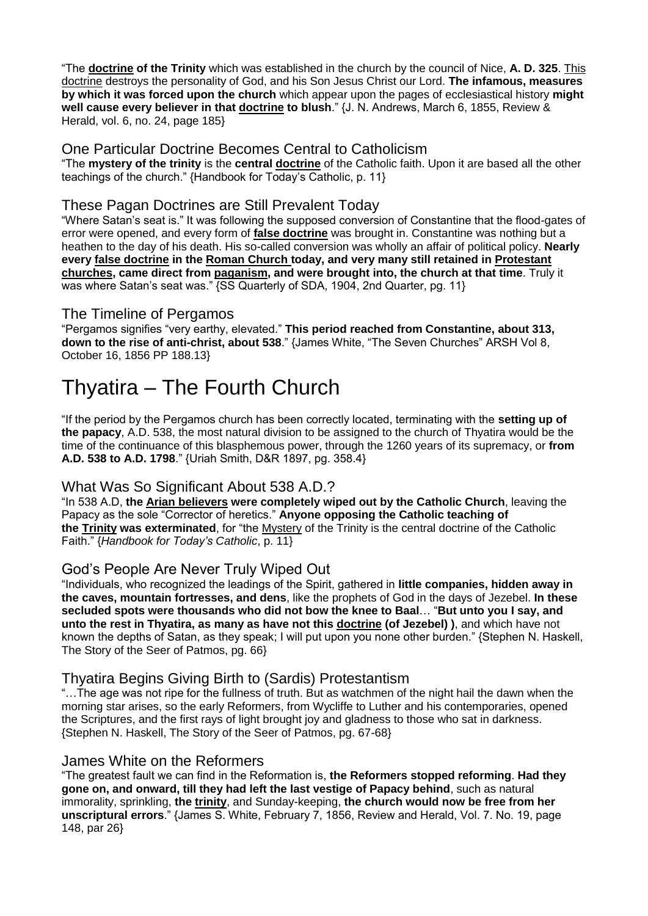"The **doctrine of the Trinity** which was established in the church by the council of Nice, **A. D. 325**. This doctrine destroys the personality of God, and his Son Jesus Christ our Lord. **The infamous, measures by which it was forced upon the church** which appear upon the pages of ecclesiastical history **might well cause every believer in that doctrine to blush**." {J. N. Andrews, March 6, 1855, Review & Herald, vol. 6, no. 24, page 185}

#### One Particular Doctrine Becomes Central to Catholicism

"The **mystery of the trinity** is the **central doctrine** of the Catholic faith. Upon it are based all the other teachings of the church." {Handbook for Today's Catholic, p. 11}

#### These Pagan Doctrines are Still Prevalent Today

"Where Satan's seat is." It was following the supposed conversion of Constantine that the flood-gates of error were opened, and every form of **false doctrine** was brought in. Constantine was nothing but a heathen to the day of his death. His so-called conversion was wholly an affair of political policy. **Nearly every false doctrine in the Roman Church today, and very many still retained in Protestant churches, came direct from paganism, and were brought into, the church at that time**. Truly it was where Satan's seat was." **{SS Quarterly of SDA, 1904**, 2nd Quarter, pg. 11}

#### The Timeline of Pergamos

"Pergamos signifies "very earthy, elevated." **This period reached from Constantine, about 313, down to the rise of anti-christ, about 538**." {James White, "The Seven Churches" ARSH Vol 8, October 16, 1856 PP 188.13}

### Thyatira – The Fourth Church

"If the period by the Pergamos church has been correctly located, terminating with the **setting up of the papacy**, A.D. 538, the most natural division to be assigned to the church of Thyatira would be the time of the continuance of this blasphemous power, through the 1260 years of its supremacy, or **from A.D. 538 to A.D. 1798**." {Uriah Smith, D&R 1897, pg. 358.4}

#### What Was So Significant About 538 A.D.?

"In 538 A.D, **the Arian believers were completely wiped out by the Catholic Church**, leaving the Papacy as the sole "Corrector of heretics." **Anyone opposing the Catholic teaching of the Trinity was exterminated**, for "the Mystery of the Trinity is the central doctrine of the Catholic Faith." {*Handbook for Today's Catholic*, p. 11}

#### God's People Are Never Truly Wiped Out

"Individuals, who recognized the leadings of the Spirit, gathered in **little companies, hidden away in the caves, mountain fortresses, and dens**, like the prophets of God in the days of Jezebel. **In these secluded spots were thousands who did not bow the knee to Baal**… "**But unto you I say, and unto the rest in Thyatira, as many as have not this doctrine (of Jezebel) )**, and which have not known the depths of Satan, as they speak; I will put upon you none other burden." {Stephen N. Haskell, The Story of the Seer of Patmos, pg. 66}

#### Thyatira Begins Giving Birth to (Sardis) Protestantism

"…The age was not ripe for the fullness of truth. But as watchmen of the night hail the dawn when the morning star arises, so the early Reformers, from Wycliffe to Luther and his contemporaries, opened the Scriptures, and the first rays of light brought joy and gladness to those who sat in darkness. {Stephen N. Haskell, The Story of the Seer of Patmos, pg. 67-68}

#### James White on the Reformers

"The greatest fault we can find in the Reformation is, **the Reformers stopped reforming**. **Had they gone on, and onward, till they had left the last vestige of Papacy behind**, such as natural immorality, sprinkling, **the trinity**, and Sunday-keeping, **the church would now be free from her unscriptural errors**." {James S. White, February 7, 1856, Review and Herald, Vol. 7. No. 19, page 148, par 26}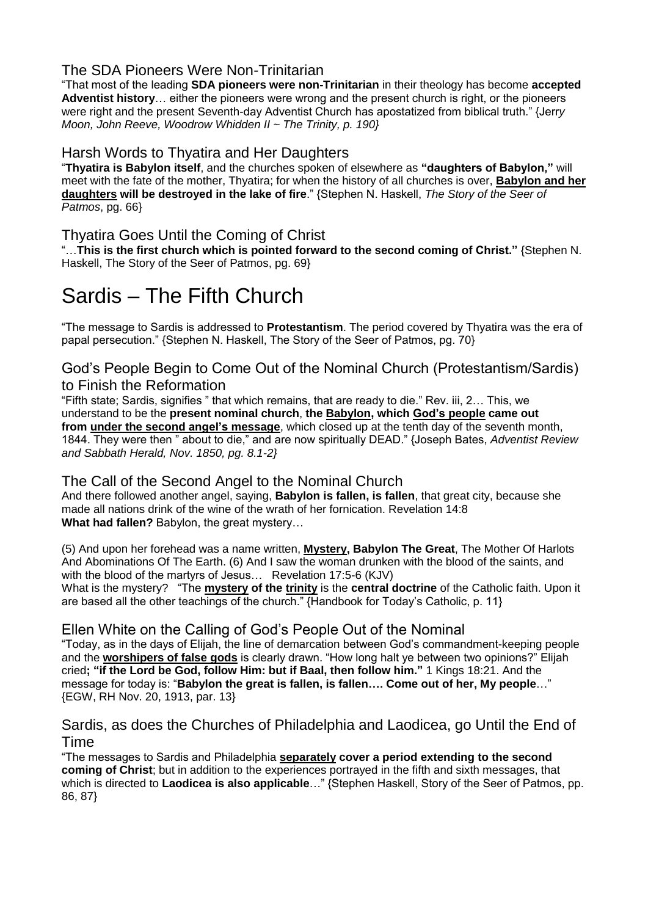#### The SDA Pioneers Were Non-Trinitarian

"That most of the leading **SDA pioneers were non-Trinitarian** in their theology has become **accepted Adventist history**… either the pioneers were wrong and the present church is right, or the pioneers were right and the present Seventh-day Adventist Church has apostatized from biblical truth." {Jerr*y Moon, John Reeve, Woodrow Whidden II ~ The Trinity, p. 190}*

#### Harsh Words to Thyatira and Her Daughters

"**Thyatira is Babylon itself**, and the churches spoken of elsewhere as **"daughters of Babylon,"** will meet with the fate of the mother, Thyatira; for when the history of all churches is over, **Babylon and her daughters will be destroyed in the lake of fire**." {Stephen N. Haskell, *The Story of the Seer of Patmos*, pg. 66}

#### Thyatira Goes Until the Coming of Christ

"…**This is the first church which is pointed forward to the second coming of Christ."** {Stephen N. Haskell, The Story of the Seer of Patmos, pg. 69}

### Sardis – The Fifth Church

"The message to Sardis is addressed to **Protestantism**. The period covered by Thyatira was the era of papal persecution." {Stephen N. Haskell, The Story of the Seer of Patmos, pg. 70}

#### God's People Begin to Come Out of the Nominal Church (Protestantism/Sardis) to Finish the Reformation

"Fifth state; Sardis, signifies " that which remains, that are ready to die." Rev. iii, 2… This, we understand to be the **present nominal church**, **the Babylon, which God's people came out from under the second angel's message**, which closed up at the tenth day of the seventh month, 1844. They were then " about to die," and are now spiritually DEAD." {Joseph Bates, *Adventist Review and Sabbath Herald, Nov. 1850, pg. 8.1-2}*

#### The Call of the Second Angel to the Nominal Church

And there followed another angel, saying, **Babylon is fallen, is fallen**, that great city, because she made all nations drink of the wine of the wrath of her fornication. Revelation 14:8 **What had fallen?** Babylon, the great mystery…

(5) And upon her forehead was a name written, **Mystery, Babylon The Great**, The Mother Of Harlots And Abominations Of The Earth. (6) And I saw the woman drunken with the blood of the saints, and with the blood of the martyrs of Jesus… Revelation 17:5-6 (KJV) What is the mystery? "The **mystery of the trinity** is the **central doctrine** of the Catholic faith. Upon it are based all the other teachings of the church." {Handbook for Today's Catholic, p. 11}

#### Ellen White on the Calling of God's People Out of the Nominal

"Today, as in the days of Elijah, the line of demarcation between God's commandment-keeping people and the **worshipers of false gods** is clearly drawn. "How long halt ye between two opinions?" Elijah cried**; "if the Lord be God, follow Him: but if Baal, then follow him."** 1 Kings 18:21. And the message for today is: "**Babylon the great is fallen, is fallen…. Come out of her, My people**…" {EGW, RH Nov. 20, 1913, par. 13}

Sardis, as does the Churches of Philadelphia and Laodicea, go Until the End of Time

"The messages to Sardis and Philadelphia **separately cover a period extending to the second coming of Christ**; but in addition to the experiences portrayed in the fifth and sixth messages, that which is directed to **Laodicea is also applicable**…" {Stephen Haskell, Story of the Seer of Patmos, pp. 86, 87}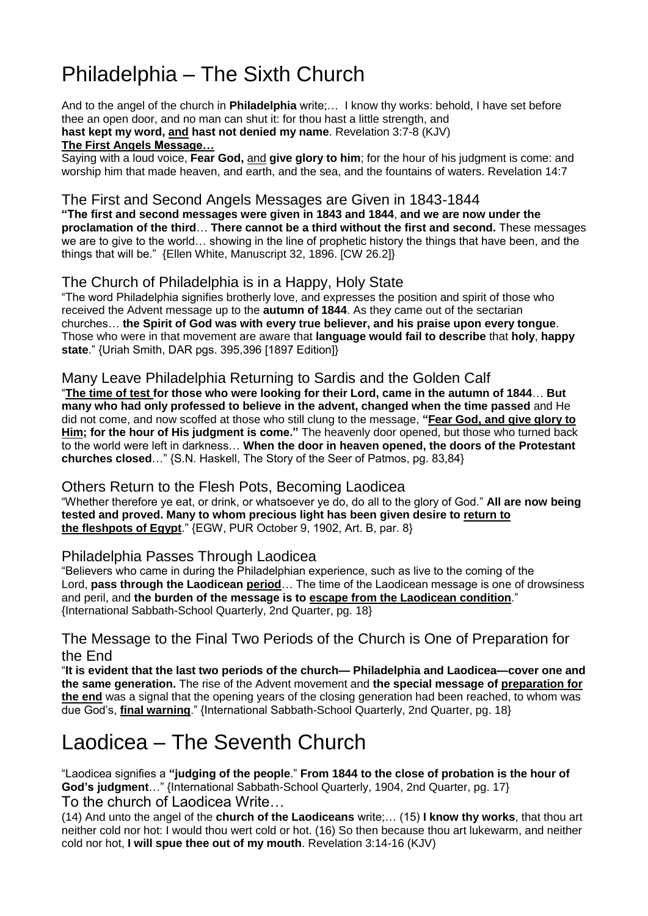## Philadelphia – The Sixth Church

And to the angel of the church in **Philadelphia** write;… I know thy works: behold, I have set before thee an open door, and no man can shut it: for thou hast a little strength, and **hast kept my word, and hast not denied my name**. Revelation 3:7-8 (KJV) **The First Angels Message…**

Saying with a loud voice, **Fear God,** and **give glory to him**; for the hour of his judgment is come: and worship him that made heaven, and earth, and the sea, and the fountains of waters. Revelation 14:7

#### The First and Second Angels Messages are Given in 1843-1844

**"The first and second messages were given in 1843 and 1844**, **and we are now under the proclamation of the third**… **There cannot be a third without the first and second.** These messages we are to give to the world… showing in the line of prophetic history the things that have been, and the things that will be." {Ellen White, Manuscript 32, 1896. [CW 26.2]}

#### The Church of Philadelphia is in a Happy, Holy State

"The word Philadelphia signifies brotherly love, and expresses the position and spirit of those who received the Advent message up to the **autumn of 1844**. As they came out of the sectarian churches… **the Spirit of God was with every true believer, and his praise upon every tongue**. Those who were in that movement are aware that **language would fail to describe** that **holy**, **happy state**." {Uriah Smith, DAR pgs. 395,396 [1897 Edition]}

#### Many Leave Philadelphia Returning to Sardis and the Golden Calf

"The time of test for those who were looking for their Lord, came in the autumn of 1844... But **many who had only professed to believe in the advent, changed when the time passed** and He did not come, and now scoffed at those who still clung to the message, **"Fear God, and give glory to Him; for the hour of His judgment is come."** The heavenly door opened, but those who turned back to the world were left in darkness… **When the door in heaven opened, the doors of the Protestant churches closed**…" {S.N. Haskell, The Story of the Seer of Patmos, pg. 83,84}

#### Others Return to the Flesh Pots, Becoming Laodicea

"Whether therefore ye eat, or drink, or whatsoever ye do, do all to the glory of God." **All are now being tested and proved. Many to whom precious light has been given desire to return to the fleshpots of Egypt**." {EGW, PUR October 9, 1902, Art. B, par. 8}

#### Philadelphia Passes Through Laodicea

"Believers who came in during the Philadelphian experience, such as live to the coming of the Lord, **pass through the Laodicean period**… The time of the Laodicean message is one of drowsiness and peril, and **the burden of the message is to escape from the Laodicean condition**." {International Sabbath-School Quarterly, 2nd Quarter, pg. 18}

#### The Message to the Final Two Periods of the Church is One of Preparation for the End

"**It is evident that the last two periods of the church— Philadelphia and Laodicea—cover one and the same generation.** The rise of the Advent movement and **the special message of preparation for the end** was a signal that the opening years of the closing generation had been reached, to whom was due God's, **final warning**." {International Sabbath-School Quarterly, 2nd Quarter, pg. 18}

### Laodicea – The Seventh Church

"Laodicea signifies a **"judging of the people**." **From 1844 to the close of probation is the hour of God's judgment**…" {International Sabbath-School Quarterly, 1904, 2nd Quarter, pg. 17} To the church of Laodicea Write…

(14) And unto the angel of the **church of the Laodiceans** write;… (15) **I know thy works**, that thou art neither cold nor hot: I would thou wert cold or hot. (16) So then because thou art lukewarm, and neither cold nor hot, **I will spue thee out of my mouth**. Revelation 3:14-16 (KJV)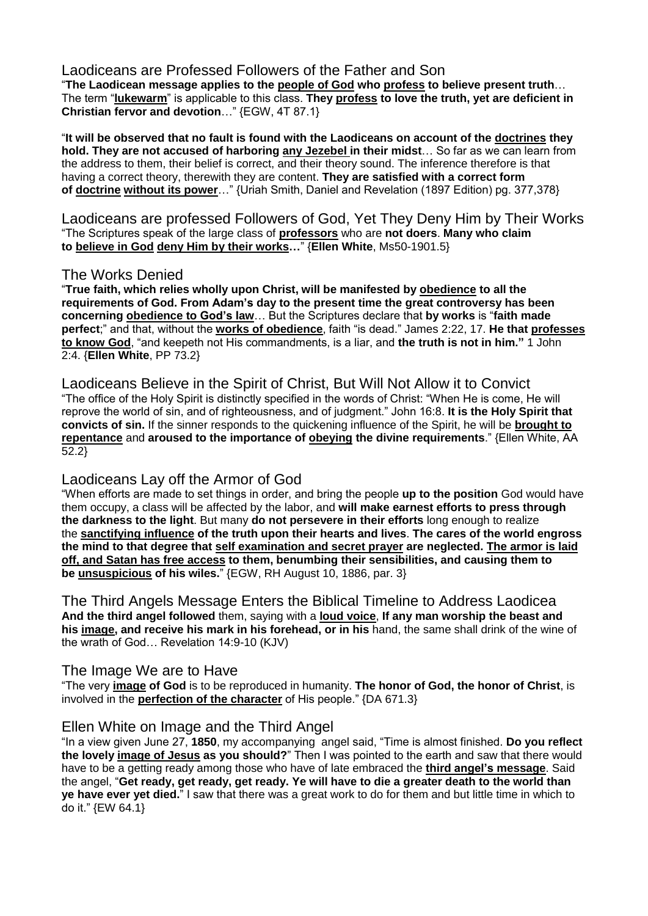Laodiceans are Professed Followers of the Father and Son

"**The Laodicean message applies to the people of God who profess to believe present truth**… The term "**lukewarm**" is applicable to this class. **They profess to love the truth, yet are deficient in Christian fervor and devotion**…" {EGW, 4T 87.1}

"**It will be observed that no fault is found with the Laodiceans on account of the doctrines they hold. They are not accused of harboring any Jezebel in their midst**… So far as we can learn from the address to them, their belief is correct, and their theory sound. The inference therefore is that having a correct theory, therewith they are content. **They are satisfied with a correct form of doctrine without its power**…" {Uriah Smith, Daniel and Revelation (1897 Edition) pg. 377,378}

Laodiceans are professed Followers of God, Yet They Deny Him by Their Works "The Scriptures speak of the large class of **professors** who are **not doers**. **Many who claim to believe in God deny Him by their works…**" {**Ellen White**, Ms50-1901.5}

#### The Works Denied

"**True faith, which relies wholly upon Christ, will be manifested by obedience to all the requirements of God. From Adam's day to the present time the great controversy has been concerning obedience to God's law**… But the Scriptures declare that **by works** is "**faith made perfect**;" and that, without the **works of obedience**, faith "is dead." James 2:22, 17. **He that professes to know God**, "and keepeth not His commandments, is a liar, and **the truth is not in him."** 1 John 2:4. {**Ellen White**, PP 73.2}

Laodiceans Believe in the Spirit of Christ, But Will Not Allow it to Convict "The office of the Holy Spirit is distinctly specified in the words of Christ: "When He is come, He will reprove the world of sin, and of righteousness, and of judgment." John 16:8. **It is the Holy Spirit that convicts of sin.** If the sinner responds to the quickening influence of the Spirit, he will be **brought to repentance** and **aroused to the importance of obeying the divine requirements**." {Ellen White, AA 52.2}

#### Laodiceans Lay off the Armor of God

"When efforts are made to set things in order, and bring the people **up to the position** God would have them occupy, a class will be affected by the labor, and **will make earnest efforts to press through the darkness to the light**. But many **do not persevere in their efforts** long enough to realize the **sanctifying influence of the truth upon their hearts and lives**. **The cares of the world engross the mind to that degree that self examination and secret prayer are neglected. The armor is laid off, and Satan has free access to them, benumbing their sensibilities, and causing them to be unsuspicious of his wiles.**" {EGW, RH August 10, 1886, par. 3}

The Third Angels Message Enters the Biblical Timeline to Address Laodicea **And the third angel followed** them, saying with a **loud voice**, **If any man worship the beast and his image, and receive his mark in his forehead, or in his** hand, the same shall drink of the wine of the wrath of God… Revelation 14:9-10 (KJV)

#### The Image We are to Have

"The very **image of God** is to be reproduced in humanity. **The honor of God, the honor of Christ**, is involved in the **perfection of the character** of His people." {DA 671.3}

#### Ellen White on Image and the Third Angel

"In a view given June 27, **1850**, my accompanying angel said, "Time is almost finished. **Do you reflect the lovely image of Jesus as you should?**" Then I was pointed to the earth and saw that there would have to be a getting ready among those who have of late embraced the **third angel's message**. Said the angel, "**Get ready, get ready, get ready. Ye will have to die a greater death to the world than ye have ever yet died.**" I saw that there was a great work to do for them and but little time in which to do it." {EW 64.1}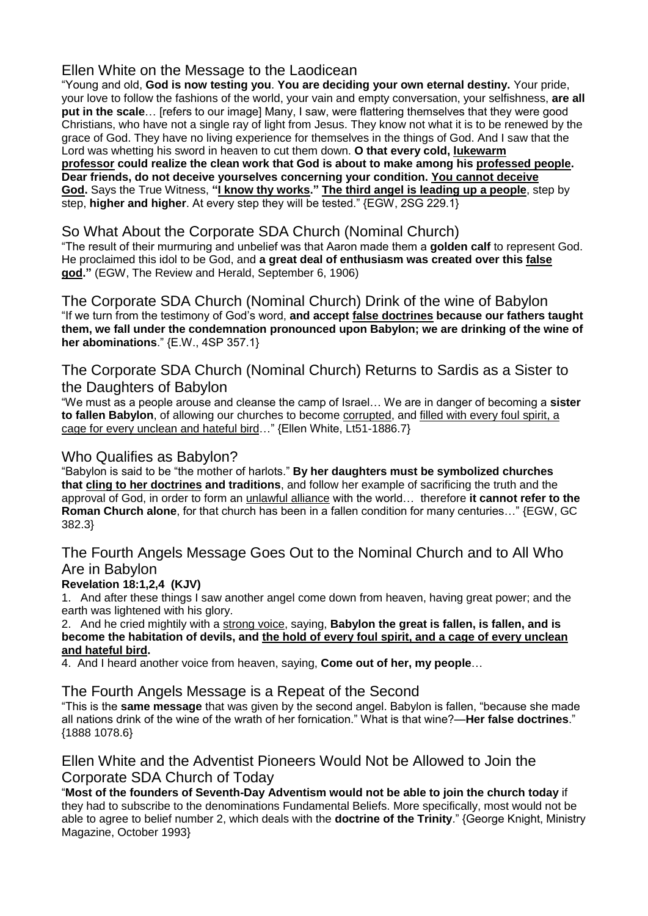#### Ellen White on the Message to the Laodicean

"Young and old, **God is now testing you**. **You are deciding your own eternal destiny.** Your pride, your love to follow the fashions of the world, your vain and empty conversation, your selfishness, **are all put in the scale**… [refers to our image] Many, I saw, were flattering themselves that they were good Christians, who have not a single ray of light from Jesus. They know not what it is to be renewed by the grace of God. They have no living experience for themselves in the things of God. And I saw that the Lord was whetting his sword in heaven to cut them down. **O that every cold, lukewarm professor could realize the clean work that God is about to make among his professed people. Dear friends, do not deceive yourselves concerning your condition. You cannot deceive God.** Says the True Witness, **"I know thy works." The third angel is leading up a people**, step by step, **higher and higher**. At every step they will be tested." {EGW, 2SG 229.1}

#### So What About the Corporate SDA Church (Nominal Church)

"The result of their murmuring and unbelief was that Aaron made them a **golden calf** to represent God. He proclaimed this idol to be God, and **a great deal of enthusiasm was created over this false god."** (EGW, The Review and Herald, September 6, 1906)

The Corporate SDA Church (Nominal Church) Drink of the wine of Babylon "If we turn from the testimony of God's word, **and accept false doctrines because our fathers taught them, we fall under the condemnation pronounced upon Babylon; we are drinking of the wine of her abominations**." {E.W., 4SP 357.1}

The Corporate SDA Church (Nominal Church) Returns to Sardis as a Sister to the Daughters of Babylon

"We must as a people arouse and cleanse the camp of Israel… We are in danger of becoming a **sister to fallen Babylon**, of allowing our churches to become corrupted, and filled with every foul spirit, a cage for every unclean and hateful bird…" {Ellen White, Lt51-1886.7}

#### Who Qualifies as Babylon?

"Babylon is said to be "the mother of harlots." **By her daughters must be symbolized churches that cling to her doctrines and traditions**, and follow her example of sacrificing the truth and the approval of God, in order to form an unlawful alliance with the world… therefore **it cannot refer to the Roman Church alone**, for that church has been in a fallen condition for many centuries…" {EGW, GC 382.3}

#### The Fourth Angels Message Goes Out to the Nominal Church and to All Who Are in Babylon

#### **Revelation 18:1,2,4 (KJV)**

1. And after these things I saw another angel come down from heaven, having great power; and the earth was lightened with his glory.

2. And he cried mightily with a strong voice, saying, **Babylon the great is fallen, is fallen, and is become the habitation of devils, and the hold of every foul spirit, and a cage of every unclean and hateful bird.**

4. And I heard another voice from heaven, saying, **Come out of her, my people**…

The Fourth Angels Message is a Repeat of the Second

"This is the **same message** that was given by the second angel. Babylon is fallen, "because she made all nations drink of the wine of the wrath of her fornication." What is that wine?—**Her false doctrines**." {1888 1078.6}

Ellen White and the Adventist Pioneers Would Not be Allowed to Join the Corporate SDA Church of Today

"**Most of the founders of Seventh-Day Adventism would not be able to join the church today** if they had to subscribe to the denominations Fundamental Beliefs. More specifically, most would not be able to agree to belief number 2, which deals with the **doctrine of the Trinity**." {George Knight, Ministry Magazine, October 1993}